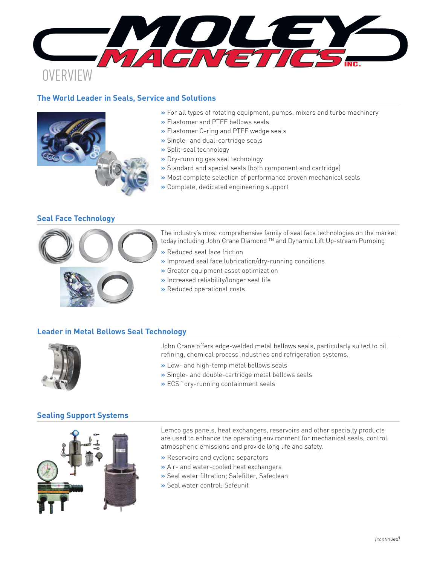**PRODUCTION** 

# **OVERVIEW**

# **The World Leader in Seals, Service and Solutions**



#### **»** For all types of rotating equipment, pumps, mixers and turbo machinery

- **»** Elastomer and PTFE bellows seals
- **»** Elastomer O-ring and PTFE wedge seals
- **»** Single- and dual-cartridge seals
- **»** Split-seal technology
- **»** Dry-running gas seal technology
- **»** Standard and special seals (both component and cartridge)
- **»** Most complete selection of performance proven mechanical seals
- **»** Complete, dedicated engineering support

## **Seal Face Technology**



The industry's most comprehensive family of seal face technologies on the market today including John Crane Diamond ™ and Dynamic Lift Up-stream Pumping

- **»** Reduced seal face friction
- **»** Improved seal face lubrication/dry-running conditions
- **»** Greater equipment asset optimization
- **»** Increased reliability/longer seal life
- **»** Reduced operational costs

# **Leader in Metal Bellows Seal Technology**



John Crane offers edge-welded metal bellows seals, particularly suited to oil refining, chemical process industries and refrigeration systems.

- **»** Low- and high-temp metal bellows seals
- **»** Single- and double-cartridge metal bellows seals
- **»** ECS™ dry-running containment seals

## **Sealing Support Systems**



Lemco gas panels, heat exchangers, reservoirs and other specialty products are used to enhance the operating environment for mechanical seals, control atmospheric emissions and provide long life and safety.

- **»** Reservoirs and cyclone separators
- **»** Air- and water-cooled heat exchangers
- **»** Seal water filtration; Safefilter, Safeclean
- **»** Seal water control; Safeunit